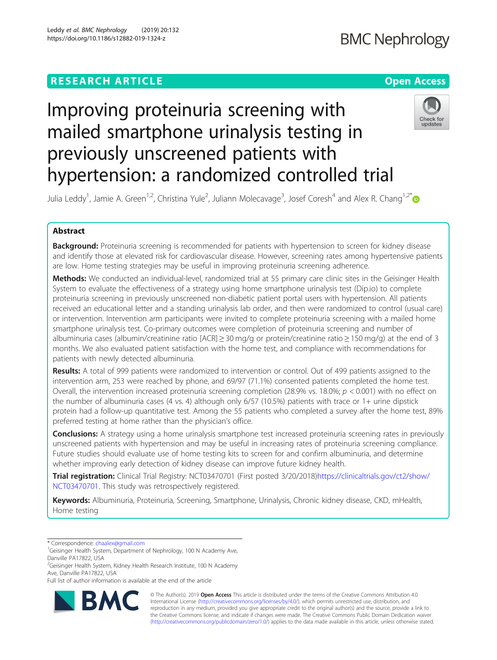# **RESEARCH ARTICLE Example 2014 12:30 The Contract of Contract ACCESS**

# **BMC Nephrology**

# Improving proteinuria screening with mailed smartphone urinalysis testing in previously unscreened patients with hypertension: a randomized controlled trial



Julia Leddy<sup>1</sup>, Jamie A. Green<sup>1,2</sup>, Christina Yule<sup>2</sup>, Juliann Molecavage<sup>3</sup>, Josef Coresh<sup>4</sup> and Alex R. Chang<sup>1,2[\\*](http://orcid.org/0000-0002-8114-7447)</sup>

# Abstract

Background: Proteinuria screening is recommended for patients with hypertension to screen for kidney disease and identify those at elevated risk for cardiovascular disease. However, screening rates among hypertensive patients are low. Home testing strategies may be useful in improving proteinuria screening adherence.

Methods: We conducted an individual-level, randomized trial at 55 primary care clinic sites in the Geisinger Health System to evaluate the effectiveness of a strategy using home smartphone urinalysis test (Dip.io) to complete proteinuria screening in previously unscreened non-diabetic patient portal users with hypertension. All patients received an educational letter and a standing urinalysis lab order, and then were randomized to control (usual care) or intervention. Intervention arm participants were invited to complete proteinuria screening with a mailed home smartphone urinalysis test. Co-primary outcomes were completion of proteinuria screening and number of albuminuria cases (albumin/creatinine ratio [ACR] ≥ 30 mg/g or protein/creatinine ratio ≥ 150 mg/g) at the end of 3 months. We also evaluated patient satisfaction with the home test, and compliance with recommendations for patients with newly detected albuminuria.

**Results:** A total of 999 patients were randomized to intervention or control. Out of 499 patients assigned to the intervention arm, 253 were reached by phone, and 69/97 (71.1%) consented patients completed the home test. Overall, the intervention increased proteinuria screening completion (28.9% vs. 18.0%;  $p < 0.001$ ) with no effect on the number of albuminuria cases (4 vs. 4) although only 6/57 (10.5%) patients with trace or 1+ urine dipstick protein had a follow-up quantitative test. Among the 55 patients who completed a survey after the home test, 89% preferred testing at home rather than the physician's office.

**Conclusions:** A strategy using a home urinalysis smartphone test increased proteinuria screening rates in previously unscreened patients with hypertension and may be useful in increasing rates of proteinuria screening compliance. Future studies should evaluate use of home testing kits to screen for and confirm albuminuria, and determine whether improving early detection of kidney disease can improve future kidney health.

Trial registration: Clinical Trial Registry: NCT03470701 (First posted 3/20/2018[\)https://clinicaltrials.gov/ct2/show/](https://clinicaltrials.gov/ct2/show/NCT03470701) [NCT03470701](https://clinicaltrials.gov/ct2/show/NCT03470701). This study was retrospectively registered.

Keywords: Albuminuria, Proteinuria, Screening, Smartphone, Urinalysis, Chronic kidney disease, CKD, mHealth, Home testing

<sup>2</sup>Geisinger Health System, Kidney Health Research Institute, 100 N Academy Ave, Danville PA17822, USA

Full list of author information is available at the end of the article



© The Author(s). 2019 **Open Access** This article is distributed under the terms of the Creative Commons Attribution 4.0 International License [\(http://creativecommons.org/licenses/by/4.0/](http://creativecommons.org/licenses/by/4.0/)), which permits unrestricted use, distribution, and reproduction in any medium, provided you give appropriate credit to the original author(s) and the source, provide a link to the Creative Commons license, and indicate if changes were made. The Creative Commons Public Domain Dedication waiver [\(http://creativecommons.org/publicdomain/zero/1.0/](http://creativecommons.org/publicdomain/zero/1.0/)) applies to the data made available in this article, unless otherwise stated.

<sup>\*</sup> Correspondence: [chaalex@gmail.com](mailto:chaalex@gmail.com) <sup>1</sup>

<sup>&</sup>lt;sup>1</sup>Geisinger Health System, Department of Nephrology, 100 N Academy Ave, Danville PA17822, USA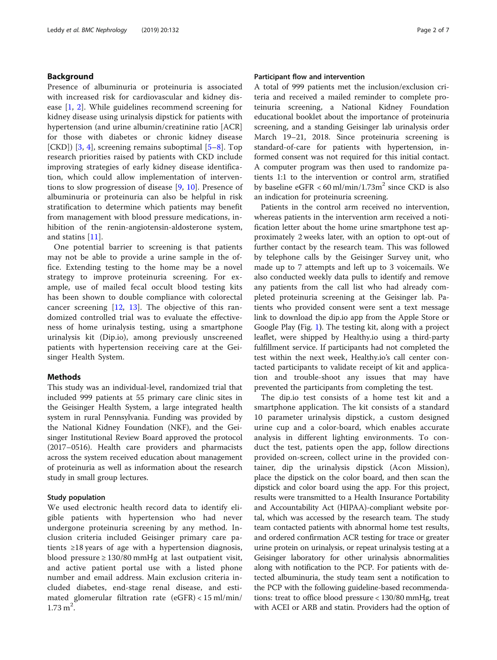# Background

Presence of albuminuria or proteinuria is associated with increased risk for cardiovascular and kidney disease [\[1](#page-5-0), [2](#page-5-0)]. While guidelines recommend screening for kidney disease using urinalysis dipstick for patients with hypertension (and urine albumin/creatinine ratio [ACR] for those with diabetes or chronic kidney disease [CKD])  $[3, 4]$  $[3, 4]$  $[3, 4]$ , screening remains suboptimal  $[5-8]$  $[5-8]$  $[5-8]$  $[5-8]$ . Top research priorities raised by patients with CKD include improving strategies of early kidney disease identification, which could allow implementation of interventions to slow progression of disease [\[9](#page-5-0), [10\]](#page-5-0). Presence of albuminuria or proteinuria can also be helpful in risk stratification to determine which patients may benefit from management with blood pressure medications, inhibition of the renin-angiotensin-aldosterone system, and statins [[11](#page-5-0)].

One potential barrier to screening is that patients may not be able to provide a urine sample in the office. Extending testing to the home may be a novel strategy to improve proteinuria screening. For example, use of mailed fecal occult blood testing kits has been shown to double compliance with colorectal cancer screening  $[12, 13]$  $[12, 13]$  $[12, 13]$ . The objective of this randomized controlled trial was to evaluate the effectiveness of home urinalysis testing, using a smartphone urinalysis kit (Dip.io), among previously unscreened patients with hypertension receiving care at the Geisinger Health System.

# Methods

This study was an individual-level, randomized trial that included 999 patients at 55 primary care clinic sites in the Geisinger Health System, a large integrated health system in rural Pennsylvania. Funding was provided by the National Kidney Foundation (NKF), and the Geisinger Institutional Review Board approved the protocol (2017–0516). Health care providers and pharmacists across the system received education about management of proteinuria as well as information about the research study in small group lectures.

# Study population

We used electronic health record data to identify eligible patients with hypertension who had never undergone proteinuria screening by any method. Inclusion criteria included Geisinger primary care patients ≥18 years of age with a hypertension diagnosis, blood pressure ≥ 130/80 mmHg at last outpatient visit, and active patient portal use with a listed phone number and email address. Main exclusion criteria included diabetes, end-stage renal disease, and estimated glomerular filtration rate  $(eGFR) < 15$  ml/min/  $1.73 \text{ m}^2$ .

# Participant flow and intervention

A total of 999 patients met the inclusion/exclusion criteria and received a mailed reminder to complete proteinuria screening, a National Kidney Foundation educational booklet about the importance of proteinuria screening, and a standing Geisinger lab urinalysis order March 19–21, 2018. Since proteinuria screening is standard-of-care for patients with hypertension, informed consent was not required for this initial contact. A computer program was then used to randomize patients 1:1 to the intervention or control arm, stratified by baseline eGFR  $<$  60 ml/min/1.73m<sup>2</sup> since CKD is also an indication for proteinuria screening.

Patients in the control arm received no intervention, whereas patients in the intervention arm received a notification letter about the home urine smartphone test approximately 2 weeks later, with an option to opt-out of further contact by the research team. This was followed by telephone calls by the Geisinger Survey unit, who made up to 7 attempts and left up to 3 voicemails. We also conducted weekly data pulls to identify and remove any patients from the call list who had already completed proteinuria screening at the Geisinger lab. Patients who provided consent were sent a text message link to download the dip.io app from the Apple Store or Google Play (Fig. [1](#page-2-0)). The testing kit, along with a project leaflet, were shipped by Healthy.io using a third-party fulfillment service. If participants had not completed the test within the next week, Healthy.io's call center contacted participants to validate receipt of kit and application and trouble-shoot any issues that may have prevented the participants from completing the test.

The dip.io test consists of a home test kit and a smartphone application. The kit consists of a standard 10 parameter urinalysis dipstick, a custom designed urine cup and a color-board, which enables accurate analysis in different lighting environments. To conduct the test, patients open the app, follow directions provided on-screen, collect urine in the provided container, dip the urinalysis dipstick (Acon Mission), place the dipstick on the color board, and then scan the dipstick and color board using the app. For this project, results were transmitted to a Health Insurance Portability and Accountability Act (HIPAA)-compliant website portal, which was accessed by the research team. The study team contacted patients with abnormal home test results, and ordered confirmation ACR testing for trace or greater urine protein on urinalysis, or repeat urinalysis testing at a Geisinger laboratory for other urinalysis abnormalities along with notification to the PCP. For patients with detected albuminuria, the study team sent a notification to the PCP with the following guideline-based recommendations: treat to office blood pressure < 130/80 mmHg, treat with ACEI or ARB and statin. Providers had the option of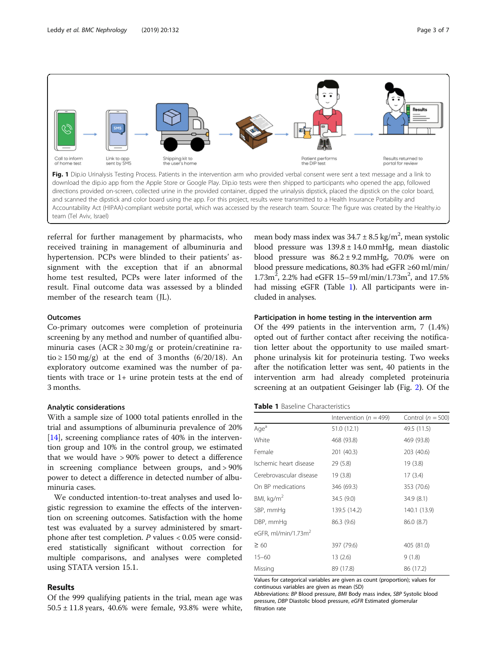<span id="page-2-0"></span>

referral for further management by pharmacists, who received training in management of albuminuria and hypertension. PCPs were blinded to their patients' assignment with the exception that if an abnormal home test resulted, PCPs were later informed of the result. Final outcome data was assessed by a blinded member of the research team (JL).

# **Outcomes**

Co-primary outcomes were completion of proteinuria screening by any method and number of quantified albuminuria cases ( $ACR \ge 30$  mg/g or protein/creatinine ratio  $\geq 150$  mg/g) at the end of 3 months (6/20/18). An exploratory outcome examined was the number of patients with trace or 1+ urine protein tests at the end of 3 months.

# Analytic considerations

With a sample size of 1000 total patients enrolled in the trial and assumptions of albuminuria prevalence of 20% [[14\]](#page-6-0), screening compliance rates of 40% in the intervention group and 10% in the control group, we estimated that we would have > 90% power to detect a difference in screening compliance between groups, and > 90% power to detect a difference in detected number of albuminuria cases.

We conducted intention-to-treat analyses and used logistic regression to examine the effects of the intervention on screening outcomes. Satisfaction with the home test was evaluated by a survey administered by smartphone after test completion.  $P$  values < 0.05 were considered statistically significant without correction for multiple comparisons, and analyses were completed using STATA version 15.1.

# Results

Of the 999 qualifying patients in the trial, mean age was  $50.5 \pm 11.8$  years, 40.6% were female, 93.8% were white,

mean body mass index was  $34.7 \pm 8.5$  kg/m<sup>2</sup>, mean systolic blood pressure was  $139.8 \pm 14.0$  mmHg, mean diastolic blood pressure was  $86.2 \pm 9.2$  mmHg, 70.0% were on blood pressure medications, 80.3% had eGFR ≥60 ml/min/  $1.73m^2$ , 2.2% had eGFR 15-59 ml/min/1.73m<sup>2</sup>, and 17.5% had missing eGFR (Table 1). All participants were included in analyses.

# Participation in home testing in the intervention arm

Of the 499 patients in the intervention arm, 7 (1.4%) opted out of further contact after receiving the notification letter about the opportunity to use mailed smartphone urinalysis kit for proteinuria testing. Two weeks after the notification letter was sent, 40 patients in the intervention arm had already completed proteinuria screening at an outpatient Geisinger lab (Fig. [2](#page-3-0)). Of the

# Table 1 Baseline Characteristics

|                                 | Intervention ( $n = 499$ ) | Control ( $n = 500$ ) |  |
|---------------------------------|----------------------------|-----------------------|--|
| Age <sup>a</sup>                | 51.0 (12.1)                | 49.5 (11.5)           |  |
| White                           | 468 (93.8)                 | 469 (93.8)            |  |
| Female                          | 201 (40.3)                 | 203 (40.6)            |  |
| Ischemic heart disease          | 29 (5.8)                   | 19(3.8)               |  |
| Cerebrovascular disease         | 19 (3.8)                   | 17(3.4)               |  |
| On BP medications               | 346 (69.3)                 | 353 (70.6)            |  |
| BMI, $kg/m2$                    | 34.5 (9.0)                 | 34.9 (8.1)            |  |
| SBP, mmHg                       | 139.5 (14.2)               | 140.1 (13.9)          |  |
| DBP, mmHg                       | 86.3 (9.6)                 | 86.0 (8.7)            |  |
| eGFR, ml/min/1.73m <sup>2</sup> |                            |                       |  |
| $\geq 60$                       | 397 (79.6)                 | 405 (81.0)            |  |
| $15 - 60$                       | 13(2.6)                    | 9(1.8)                |  |
| Missing                         | 89 (17.8)                  | 86 (17.2)             |  |

Values for categorical variables are given as count (proportion); values for continuous variables are given as mean (SD)

Abbreviations: BP Blood pressure, BMI Body mass index, SBP Systolic blood pressure, DBP Diastolic blood pressure, eGFR Estimated glomerular filtration rate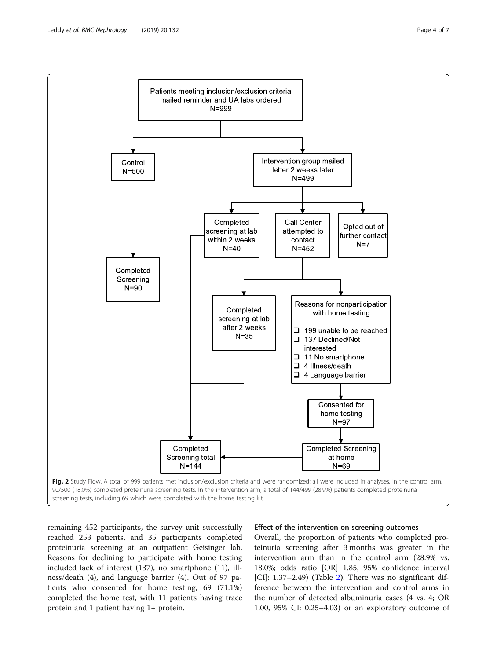<span id="page-3-0"></span>

remaining 452 participants, the survey unit successfully reached 253 patients, and 35 participants completed proteinuria screening at an outpatient Geisinger lab. Reasons for declining to participate with home testing included lack of interest (137), no smartphone (11), illness/death (4), and language barrier (4). Out of 97 patients who consented for home testing, 69 (71.1%) completed the home test, with 11 patients having trace protein and 1 patient having 1+ protein.

# Effect of the intervention on screening outcomes

Overall, the proportion of patients who completed proteinuria screening after 3 months was greater in the intervention arm than in the control arm (28.9% vs. 18.0%; odds ratio [OR] 1.85, 95% confidence interval [CI]: 1.37–2.49) (Table [2](#page-4-0)). There was no significant difference between the intervention and control arms in the number of detected albuminuria cases (4 vs. 4; OR 1.00, 95% CI: 0.25–4.03) or an exploratory outcome of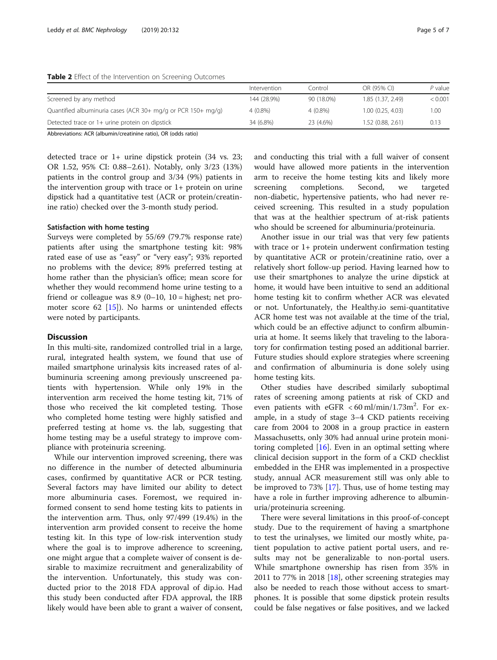# <span id="page-4-0"></span>Table 2 Effect of the Intervention on Screening Outcomes

|                                                              | Intervention | Control    | OR (95% CI)       | P value |
|--------------------------------------------------------------|--------------|------------|-------------------|---------|
| Screened by any method                                       | 144 (28.9%)  | 90 (18.0%) | 1.85 (1.37, 2.49) | < 0.001 |
| Quantified albuminuria cases (ACR 30+ mg/g or PCR 150+ mg/g) | 4 (0.8%)     | $4(0.8\%)$ | 1.00(0.25, 4.03)  | 1.00    |
| Detected trace or 1+ urine protein on dipstick               | 34 (6.8%)    | 23 (4.6%)  | 1.52 (0.88, 2.61) | 0.13    |

Abbreviations: ACR (albumin/creatinine ratio), OR (odds ratio)

detected trace or 1+ urine dipstick protein (34 vs. 23; OR 1.52, 95% CI: 0.88–2.61). Notably, only 3/23 (13%) patients in the control group and 3/34 (9%) patients in the intervention group with trace or 1+ protein on urine dipstick had a quantitative test (ACR or protein/creatinine ratio) checked over the 3-month study period.

# Satisfaction with home testing

Surveys were completed by 55/69 (79.7% response rate) patients after using the smartphone testing kit: 98% rated ease of use as "easy" or "very easy"; 93% reported no problems with the device; 89% preferred testing at home rather than the physician's office; mean score for whether they would recommend home urine testing to a friend or colleague was  $8.9$  (0–10, 10 = highest; net promoter score  $62$  [[15](#page-6-0)]). No harms or unintended effects were noted by participants.

# **Discussion**

In this multi-site, randomized controlled trial in a large, rural, integrated health system, we found that use of mailed smartphone urinalysis kits increased rates of albuminuria screening among previously unscreened patients with hypertension. While only 19% in the intervention arm received the home testing kit, 71% of those who received the kit completed testing. Those who completed home testing were highly satisfied and preferred testing at home vs. the lab, suggesting that home testing may be a useful strategy to improve compliance with proteinuria screening.

While our intervention improved screening, there was no difference in the number of detected albuminuria cases, confirmed by quantitative ACR or PCR testing. Several factors may have limited our ability to detect more albuminuria cases. Foremost, we required informed consent to send home testing kits to patients in the intervention arm. Thus, only 97/499 (19.4%) in the intervention arm provided consent to receive the home testing kit. In this type of low-risk intervention study where the goal is to improve adherence to screening, one might argue that a complete waiver of consent is desirable to maximize recruitment and generalizability of the intervention. Unfortunately, this study was conducted prior to the 2018 FDA approval of dip.io. Had this study been conducted after FDA approval, the IRB likely would have been able to grant a waiver of consent,

and conducting this trial with a full waiver of consent would have allowed more patients in the intervention arm to receive the home testing kits and likely more screening completions. Second, we targeted non-diabetic, hypertensive patients, who had never received screening. This resulted in a study population that was at the healthier spectrum of at-risk patients who should be screened for albuminuria/proteinuria.

Another issue in our trial was that very few patients with trace or 1+ protein underwent confirmation testing by quantitative ACR or protein/creatinine ratio, over a relatively short follow-up period. Having learned how to use their smartphones to analyze the urine dipstick at home, it would have been intuitive to send an additional home testing kit to confirm whether ACR was elevated or not. Unfortunately, the Healthy.io semi-quantitative ACR home test was not available at the time of the trial, which could be an effective adjunct to confirm albuminuria at home. It seems likely that traveling to the laboratory for confirmation testing posed an additional barrier. Future studies should explore strategies where screening and confirmation of albuminuria is done solely using home testing kits.

Other studies have described similarly suboptimal rates of screening among patients at risk of CKD and even patients with  $eGFR < 60$  ml/min/1.73m<sup>2</sup>. For example, in a study of stage 3–4 CKD patients receiving care from 2004 to 2008 in a group practice in eastern Massachusetts, only 30% had annual urine protein monitoring completed  $[16]$ . Even in an optimal setting where clinical decision support in the form of a CKD checklist embedded in the EHR was implemented in a prospective study, annual ACR measurement still was only able to be improved to 73% [\[17](#page-6-0)]. Thus, use of home testing may have a role in further improving adherence to albuminuria/proteinuria screening.

There were several limitations in this proof-of-concept study. Due to the requirement of having a smartphone to test the urinalyses, we limited our mostly white, patient population to active patient portal users, and results may not be generalizable to non-portal users. While smartphone ownership has risen from 35% in 2011 to 77% in 2018 [[18](#page-6-0)], other screening strategies may also be needed to reach those without access to smartphones. It is possible that some dipstick protein results could be false negatives or false positives, and we lacked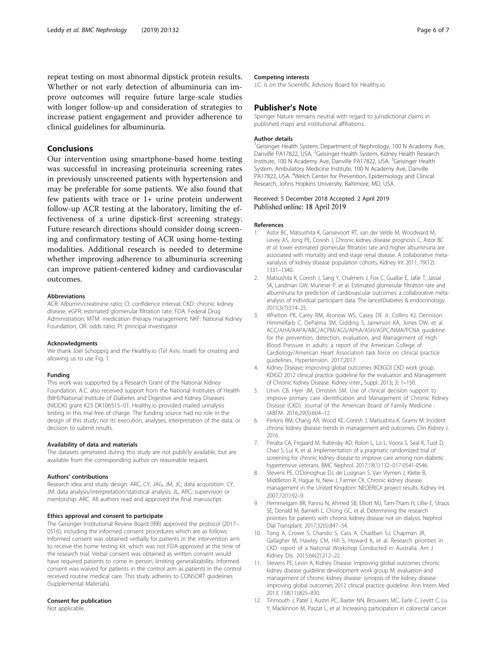<span id="page-5-0"></span>repeat testing on most abnormal dipstick protein results. Whether or not early detection of albuminuria can improve outcomes will require future large-scale studies with longer follow-up and consideration of strategies to increase patient engagement and provider adherence to clinical guidelines for albuminuria.

# Conclusions

Our intervention using smartphone-based home testing was successful in increasing proteinuria screening rates in previously unscreened patients with hypertension and may be preferable for some patients. We also found that few patients with trace or 1+ urine protein underwent follow-up ACR testing at the laboratory, limiting the effectiveness of a urine dipstick-first screening strategy. Future research directions should consider doing screening and confirmatory testing of ACR using home-testing modalities. Additional research is needed to determine whether improving adherence to albuminuria screening can improve patient-centered kidney and cardiovascular outcomes.

## Abbreviations

ACR: Albumin/creatinine ratio; CI: confidence interval; CKD: chronic kidney disease; eGFR: estimated glomerular filtration rate; FDA: Federal Drug Administration; MTM: medication therapy management; NKF: National Kidney Foundation; OR: odds ratio; PI: principal investigator

### Acknowledgments

We thank Joel Schoppig and the Healthy.io (Tel Aviv, Israel) for creating and allowing us to use Fig. [1.](#page-2-0)

#### Funding

This work was supported by a Research Grant of the National Kidney Foundation. A.C. also received support from the National Institutes of Health (NIH)/National Institute of Diabetes and Digestive and Kidney Diseases (NIDDK) grant K23 DK106515–01. Healthy.io provided mailed urinalysis testing in this trial free of charge. The funding source had no role in the design of this study, nor its execution, analyses, interpretation of the data, or decision to submit results.

# Availability of data and materials

The datasets generated during this study are not publicly available, but are available from the corresponding author on reasonable request.

# Authors' contributions

Research idea and study design: ARC, CY, JAG, JM, JC; data acquisition: CY, JM; data analysis/interpretation/statistical analysis: JL, ARC; supervision or mentorship: ARC. All authors read and approved the final manuscript.

# Ethics approval and consent to participate

The Geisinger Institutional Review Board (IRB) approved the protocol (2017– 0516), including the informed consent procedures which are as follows: Informed consent was obtained verbally for patients in the intervention arm to receive the home testing kit, which was not FDA-approved at the time of the research trial. Verbal consent was obtained as written consent would have required patients to come in person, limiting generalizability. Informed consent was waived for patients in the control arm as patients in the control received routine medical care. This study adheres to CONSORT guidelines (Supplemental Materials).

# Consent for publication

Not applicable.

# Competing interests

J.C. is on the Scientific Advisory Board for Healthy.io.

# Publisher's Note

Springer Nature remains neutral with regard to jurisdictional claims in published maps and institutional affiliations.

# Author details

<sup>1</sup>Geisinger Health System, Department of Nephrology, 100 N Academy Ave Danville PA17822, USA. <sup>2</sup>Geisinger Health System, Kidney Health Research Institute, 100 N Academy Ave, Danville PA17822, USA. <sup>3</sup>Geisinger Health System, Ambulatory Medicine Institute, 100 N Academy Ave, Danville PA17822, USA. <sup>4</sup>Welch Center for Prevention, Epidemiology and Clinical Research, Johns Hopkins University, Baltimore, MD, USA.

# Received: 5 December 2018 Accepted: 2 April 2019 Published online: 18 April 2019

#### References

- 1. Astor BC, Matsushita K, Gansevoort RT, van der Velde M, Woodward M, Levey AS, Jong PE, Coresh J, Chronic kidney disease prognosis C, Astor BC et al: lower estimated glomerular filtration rate and higher albuminuria are associated with mortality and end-stage renal disease. A collaborative metaxanalysis of kidney disease population cohorts. Kidney Int 2011, 79(12): 1331–1340.
- 2. Matsushita K, Coresh J, Sang Y, Chalmers J, Fox C, Guallar E, Jafar T, Jassal SK, Landman GW, Muntner P, et al. Estimated glomerular filtration rate and albuminuria for prediction of cardiovascular outcomes: a collaborative metaanalysis of individual participant data. The lancetDiabetes & endocrinology. 2015;3(7):514–25.
- 3. Whelton PK, Carey RM, Aronow WS, Casey DE Jr, Collins KJ, Dennison Himmelfarb C, DePalma SM, Gidding S, Jamerson KA, Jones DW, et al. ACC/AHA/AAPA/ABC/ACPM/AGS/APhA/ASH/ASPC/NMA/PCNA guideline for the prevention, detection, evaluation, and Management of High Blood Pressure in adults: a report of the American College of Cardiology/American Heart Association task force on clinical practice guidelines. Hypertension. 2017;2017.
- 4. Kidney Disease: Improving global outcomes (KDIGO) CKD work group. KDIGO 2012 clinical practice guideline for the evaluation and Management of Chronic Kidney Disease. Kidney inter., Suppl. 2013; 3: 1–150.
- 5. Litvin CB, Hyer JM, Ornstein SM. Use of clinical decision support to improve primary care identification and Management of Chronic Kidney Disease (CKD). Journal of the American Board of Family Medicine : JABFM. 2016;29(5):604–12.
- 6. Perkins RM, Chang AR, Wood KE, Coresh J, Matsushita K, Grams M. Incident chronic kidney disease: trends in management and outcomes. Clin Kidney J. 2016.
- 7. Peralta CA, Frigaard M, Rubinsky AD, Rolon L, Lo L, Voora S, Seal K, Tuot D, Chao S, Lui K, et al. Implementation of a pragmatic randomized trial of screening for chronic kidney disease to improve care among non-diabetic hypertensive veterans. BMC Nephrol. 2017;18(1):132–017-0541-0546.
- 8. Stevens PE, O'Donoghue DJ, de Lusignan S, Van Vlymen J, Klebe B, Middleton R, Hague N, New J, Farmer CK. Chronic kidney disease management in the United Kingdom: NEOERICA project results. Kidney Int. 2007;72(1):92–9.
- 9. Hemmelgarn BR, Pannu N, Ahmed SB, Elliott MJ, Tam-Tham H, Lillie E, Straus SE, Donald M, Barnieh L, Chong GC, et al. Determining the research priorities for patients with chronic kidney disease not on dialysis. Nephrol Dial Transplant. 2017;32(5):847–54.
- 10. Tong A, Crowe S, Chando S, Cass A, Chadban SJ, Chapman JR, Gallagher M, Hawley CM, Hill S, Howard K, et al. Research priorities in CKD: report of a National Workshop Conducted in Australia. Am J Kidney Dis. 2015;66(2):212–22.
- 11. Stevens PE, Levin A, Kidney Disease: Improving global outcomes chronic kidney disease guideline development work group M: evaluation and management of chronic kidney disease: synopsis of the kidney disease: improving global outcomes 2012 clinical practice guideline. Ann Intern Med 2013, 158(11):825–830.
- 12. Tinmouth J, Patel J, Austin PC, Baxter NN, Brouwers MC, Earle C, Levitt C, Lu Y, Mackinnon M, Paszat L, et al. Increasing participation in colorectal cancer